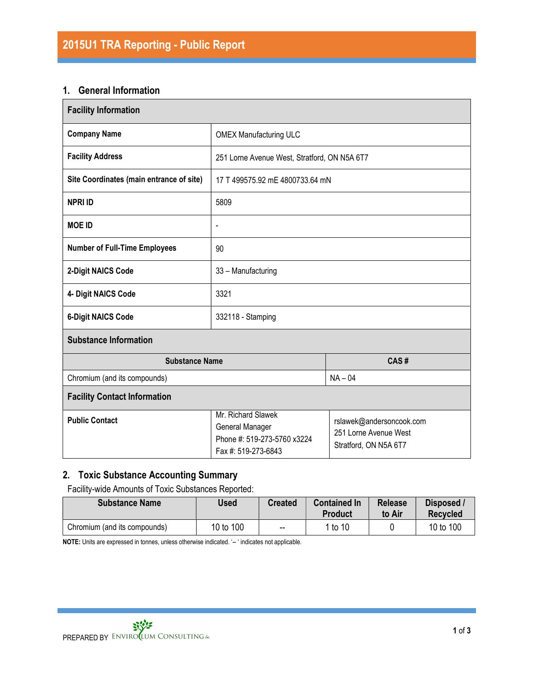#### 1. General Information

| <b>Facility Information</b>              |                                                                                             |                                                                            |  |  |  |
|------------------------------------------|---------------------------------------------------------------------------------------------|----------------------------------------------------------------------------|--|--|--|
| <b>Company Name</b>                      | <b>OMEX Manufacturing ULC</b>                                                               |                                                                            |  |  |  |
| <b>Facility Address</b>                  | 251 Lorne Avenue West, Stratford, ON N5A 6T7                                                |                                                                            |  |  |  |
| Site Coordinates (main entrance of site) | 17 T 499575.92 mE 4800733.64 mN                                                             |                                                                            |  |  |  |
| <b>NPRI ID</b>                           | 5809                                                                                        |                                                                            |  |  |  |
| <b>MOE ID</b>                            | $\qquad \qquad \blacksquare$                                                                |                                                                            |  |  |  |
| <b>Number of Full-Time Employees</b>     | 90                                                                                          |                                                                            |  |  |  |
| 2-Digit NAICS Code                       | 33 - Manufacturing                                                                          |                                                                            |  |  |  |
| 4- Digit NAICS Code                      | 3321                                                                                        |                                                                            |  |  |  |
| <b>6-Digit NAICS Code</b>                | 332118 - Stamping                                                                           |                                                                            |  |  |  |
| <b>Substance Information</b>             |                                                                                             |                                                                            |  |  |  |
| <b>Substance Name</b>                    | CAS#                                                                                        |                                                                            |  |  |  |
| Chromium (and its compounds)             | $NA - 04$                                                                                   |                                                                            |  |  |  |
| <b>Facility Contact Information</b>      |                                                                                             |                                                                            |  |  |  |
| <b>Public Contact</b>                    | Mr. Richard Slawek<br>General Manager<br>Phone #: 519-273-5760 x3224<br>Fax #: 519-273-6843 | rslawek@andersoncook.com<br>251 Lorne Avenue West<br>Stratford, ON N5A 6T7 |  |  |  |

## 2. Toxic Substance Accounting Summary

Facility-wide Amounts of Toxic Substances Reported:

| <b>Substance Name</b>        | Used      | <b>Created</b> | <b>Contained In</b><br><b>Product</b> | <b>Release</b><br>to Air | Disposed /<br><b>Recycled</b> |
|------------------------------|-----------|----------------|---------------------------------------|--------------------------|-------------------------------|
| Chromium (and its compounds) | 10 to 100 | $\sim$ $\sim$  | 1 to 10                               |                          | 10 to 100                     |

NOTE: Units are expressed in tonnes, unless otherwise indicated. '-- ' indicates not applicable.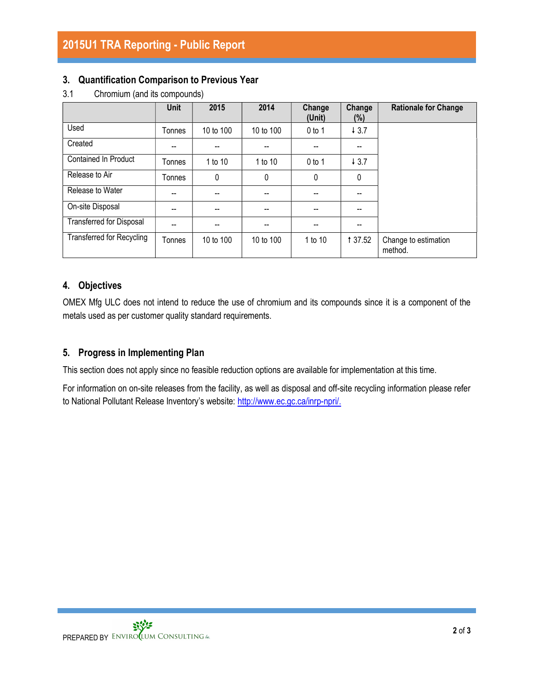#### 3. Quantification Comparison to Previous Year

|                                  | <b>Unit</b> | 2015      | 2014      | Change<br>(Unit) | Change<br>$(\%)$ | <b>Rationale for Change</b>     |
|----------------------------------|-------------|-----------|-----------|------------------|------------------|---------------------------------|
| Used                             | Tonnes      | 10 to 100 | 10 to 100 | $0$ to 1         | 43.7             |                                 |
| Created                          | --          |           |           | --               |                  |                                 |
| <b>Contained In Product</b>      | Tonnes      | 1 to 10   | 1 to 10   | $0$ to 1         | 43.7             |                                 |
| Release to Air                   | Tonnes      | 0         | 0         | $\mathbf{0}$     | $\theta$         |                                 |
| Release to Water                 | --          | --        | --        | --               |                  |                                 |
| On-site Disposal                 | --          |           | --        | --               |                  |                                 |
| <b>Transferred for Disposal</b>  | $-$         |           |           | --               |                  |                                 |
| <b>Transferred for Recycling</b> | Tonnes      | 10 to 100 | 10 to 100 | 1 to 10          | <b>137.52</b>    | Change to estimation<br>method. |

3.1 Chromium (and its compounds)

## 4. Objectives

OMEX Mfg ULC does not intend to reduce the use of chromium and its compounds since it is a component of the metals used as per customer quality standard requirements.

### 5. Progress in Implementing Plan

This section does not apply since no feasible reduction options are available for implementation at this time.

For information on on-site releases from the facility, as well as disposal and off-site recycling information please refer to National Pollutant Release Inventory's website: http://www.ec.gc.ca/inrp-npri/.